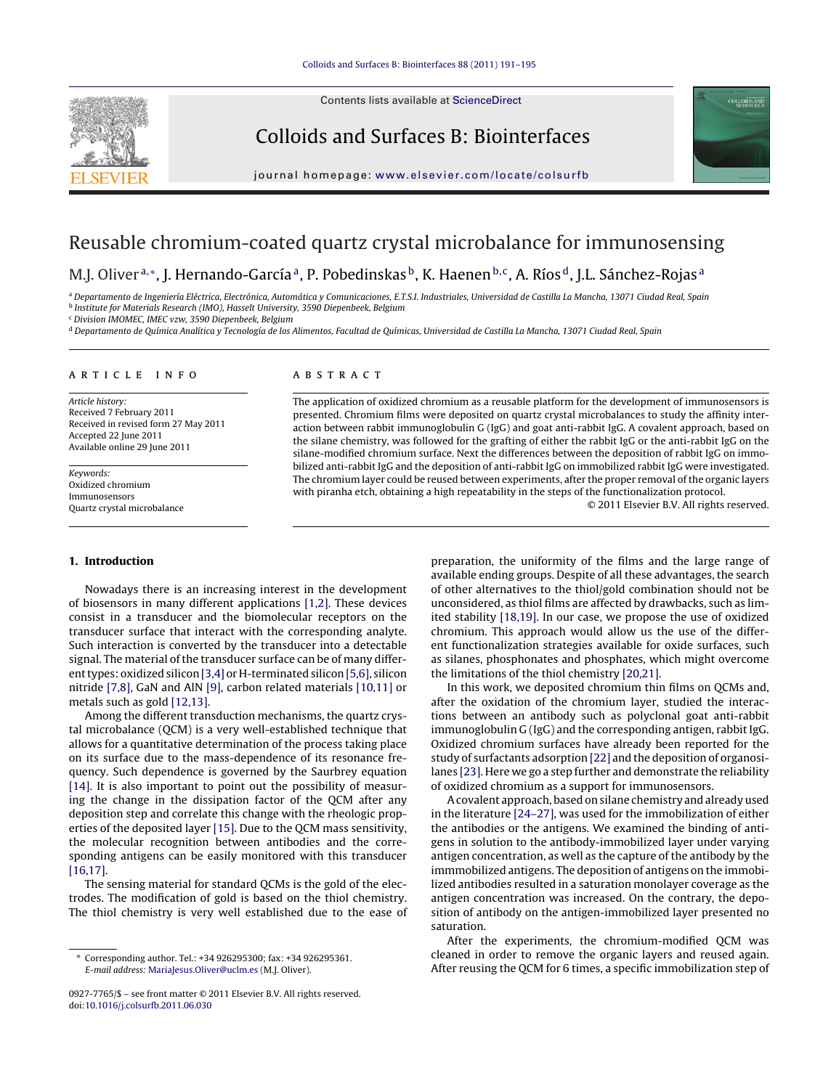Contents lists available at [ScienceDirect](http://www.sciencedirect.com/science/journal/09277765)



Colloids and Surfaces B: Biointerfaces



jour nal homepage: [www.elsevier.com/locate/colsurfb](http://www.elsevier.com/locate/colsurfb)

# Reusable chromium-coated quartz crystal microbalance for immunosensing

M.J. Oliver<sup>a,∗</sup>, J. Hernando-García<sup>a</sup>, P. Pobedinskas<sup>b</sup>, K. Haenen<sup>b,c</sup>, A. Ríos<sup>d</sup>, J.L. Sánchez-Rojas<sup>a</sup>

<sup>a</sup> Departamento de Ingeniería Eléctrica, Electrónica, Automática y Comunicaciones, E.T.S.I. Industriales, Universidad de Castilla La Mancha, 13071 Ciudad Real, Spain <sup>b</sup> Institute for Materials Research (IMO), Hasselt University, 3590 Diepenbeek, Belgium

<sup>c</sup> Division IMOMEC, IMEC vzw, 3590 Diepenbeek, Belgium

<sup>d</sup> Departamento de Química Analítica y Tecnología de los Alimentos, Facultad de Químicas, Universidad de Castilla La Mancha, 13071 Ciudad Real, Spain

# a r t i c l e i n f o

Article history: Received 7 February 2011 Received in revised form 27 May 2011 Accepted 22 June 2011 Available online 29 June 2011

Keywords: Oxidized chromium Immunosensors Quartz crystal microbalance

## **1. Introduction**

Nowadays there is an increasing interest in the development of biosensors in many different applications [\[1,2\].](#page-4-0) These devices consist in a transducer and the biomolecular receptors on the transducer surface that interact with the corresponding analyte. Such interaction is converted by the transducer into a detectable signal. The material of the transducer surface can be of many differ-ent types: oxidized silicon [\[3,4\]](#page-4-0) or H-terminated silicon [\[5,6\],](#page-4-0) silicon nitride [\[7,8\],](#page-4-0) GaN and AlN [\[9\],](#page-4-0) carbon related materials [\[10,11\]](#page-4-0) or metals such as gold [\[12,13\].](#page-4-0)

Among the different transduction mechanisms, the quartz crystal microbalance (QCM) is a very well-established technique that allows for a quantitative determination of the process taking place on its surface due to the mass-dependence of its resonance frequency. Such dependence is governed by the Saurbrey equation [\[14\].](#page-4-0) It is also important to point out the possibility of measuring the change in the dissipation factor of the QCM after any deposition step and correlate this change with the rheologic properties of the deposited layer [\[15\].](#page-4-0) Due to the QCM mass sensitivity, the molecular recognition between antibodies and the corresponding antigens can be easily monitored with this transducer [\[16,17\].](#page-4-0)

The sensing material for standard QCMs is the gold of the electrodes. The modification of gold is based on the thiol chemistry. The thiol chemistry is very well established due to the ease of

## A B S T R A C T

The application of oxidized chromium as a reusable platform for the development of immunosensors is presented. Chromium films were deposited on quartz crystal microbalances to study the affinity interaction between rabbit immunoglobulin G (IgG) and goat anti-rabbit IgG. A covalent approach, based on the silane chemistry, was followed for the grafting of either the rabbit IgG or the anti-rabbit IgG on the silane-modified chromium surface. Next the differences between the deposition of rabbit IgG on immobilized anti-rabbit IgG and the deposition of anti-rabbit IgG on immobilized rabbit IgG were investigated. The chromium layer could be reused between experiments, after the proper removal ofthe organic layers with piranha etch, obtaining a high repeatability in the steps of the functionalization protocol.

© 2011 Elsevier B.V. All rights reserved.

preparation, the uniformity of the films and the large range of available ending groups. Despite of all these advantages, the search of other alternatives to the thiol/gold combination should not be unconsidered, as thiol films are affected by drawbacks, such as limited stability [\[18,19\].](#page-4-0) In our case, we propose the use of oxidized chromium. This approach would allow us the use of the different functionalization strategies available for oxide surfaces, such as silanes, phosphonates and phosphates, which might overcome the limitations of the thiol chemistry [\[20,21\].](#page-4-0)

In this work, we deposited chromium thin films on QCMs and, after the oxidation of the chromium layer, studied the interactions between an antibody such as polyclonal goat anti-rabbit immunoglobulin G (IgG) and the corresponding antigen, rabbit IgG. Oxidized chromium surfaces have already been reported for the study of surfactants adsorption [\[22\]](#page-4-0) and the deposition of organosilanes [\[23\].](#page-4-0) Here we go a step further and demonstrate the reliability of oxidized chromium as a support for immunosensors.

Acovalent approach, based onsilane chemistry and already used in the literature [\[24–27\],](#page-4-0) was used for the immobilization of either the antibodies or the antigens. We examined the binding of antigens in solution to the antibody-immobilized layer under varying antigen concentration, as well as the capture of the antibody by the immmobilized antigens. The deposition of antigens on the immobilized antibodies resulted in a saturation monolayer coverage as the antigen concentration was increased. On the contrary, the deposition of antibody on the antigen-immobilized layer presented no saturation.

After the experiments, the chromium-modified QCM was cleaned in order to remove the organic layers and reused again. After reusing the QCM for 6 times, a specific immobilization step of

<sup>∗</sup> Corresponding author. Tel.: +34 926295300; fax: +34 926295361. E-mail address: [MariaJesus.Oliver@uclm.es](mailto:MariaJesus.Oliver@uclm.es) (M.J. Oliver).

<sup>0927-7765/\$</sup> – see front matter © 2011 Elsevier B.V. All rights reserved. doi:[10.1016/j.colsurfb.2011.06.030](dx.doi.org/10.1016/j.colsurfb.2011.06.030)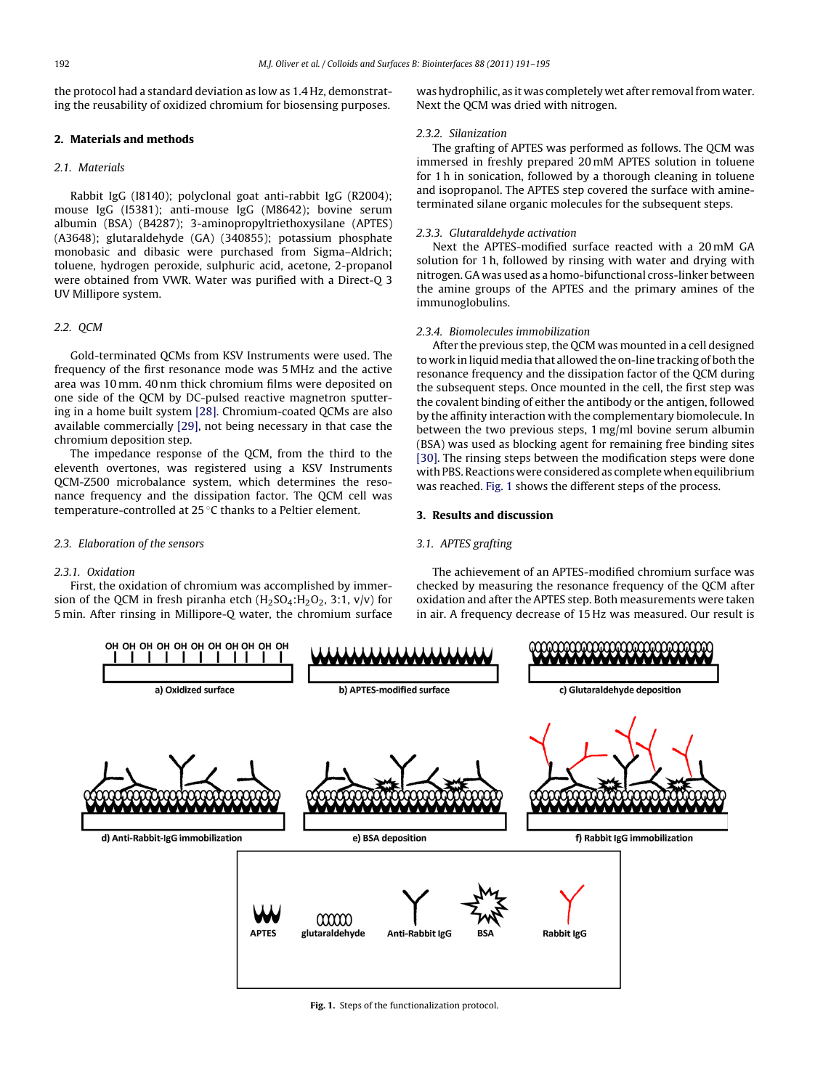the protocol had a standard deviation as low as 1.4 Hz, demonstrating the reusability of oxidized chromium for biosensing purposes.

## **2. Materials and methods**

## 2.1. Materials

Rabbit IgG (I8140); polyclonal goat anti-rabbit IgG (R2004); mouse IgG (I5381); anti-mouse IgG (M8642); bovine serum albumin (BSA) (B4287); 3-aminopropyltriethoxysilane (APTES) (A3648); glutaraldehyde (GA) (340855); potassium phosphate monobasic and dibasic were purchased from Sigma–Aldrich; toluene, hydrogen peroxide, sulphuric acid, acetone, 2-propanol were obtained from VWR. Water was purified with a Direct-Q 3 UV Millipore system.

## 2.2. QCM

Gold-terminated QCMs from KSV Instruments were used. The frequency of the first resonance mode was 5 MHz and the active area was 10 mm. 40 nm thick chromium films were deposited on one side of the QCM by DC-pulsed reactive magnetron sputtering in a home built system [\[28\].](#page-4-0) Chromium-coated QCMs are also available commercially [\[29\],](#page-4-0) not being necessary in that case the chromium deposition step.

The impedance response of the QCM, from the third to the eleventh overtones, was registered using a KSV Instruments QCM-Z500 microbalance system, which determines the resonance frequency and the dissipation factor. The QCM cell was temperature-controlled at 25 ◦C thanks to a Peltier element.

## 2.3. Elaboration of the sensors

## 2.3.1. Oxidation

First, the oxidation of chromium was accomplished by immersion of the QCM in fresh piranha etch  $(H<sub>2</sub>SO<sub>4</sub>:H<sub>2</sub>O<sub>2</sub>, 3:1, v/v)$  for 5 min. After rinsing in Millipore-Q water, the chromium surface

was hydrophilic, as it was completely wet after removal from water. Next the QCM was dried with nitrogen.

#### 2.3.2. Silanization

The grafting of APTES was performed as follows. The QCM was immersed in freshly prepared 20 mM APTES solution in toluene for 1 h in sonication, followed by a thorough cleaning in toluene and isopropanol. The APTES step covered the surface with amineterminated silane organic molecules for the subsequent steps.

## 2.3.3. Glutaraldehyde activation

Next the APTES-modified surface reacted with a 20 mM GA solution for 1 h, followed by rinsing with water and drying with nitrogen. GA was used as a homo-bifunctional cross-linker between the amine groups of the APTES and the primary amines of the immunoglobulins.

## 2.3.4. Biomolecules immobilization

After the previous step, the QCM was mounted in a cell designed to work in liquid media that allowed the on-line tracking of both the resonance frequency and the dissipation factor of the QCM during the subsequent steps. Once mounted in the cell, the first step was the covalent binding of either the antibody or the antigen, followed by the affinity interaction with the complementary biomolecule. In between the two previous steps, 1 mg/ml bovine serum albumin (BSA) was used as blocking agent for remaining free binding sites [\[30\].](#page-4-0) The rinsing steps between the modification steps were done with PBS. Reactions were considered as complete when equilibrium was reached. Fig. 1 shows the different steps of the process.

## **3. Results and discussion**

## 3.1. APTES grafting

The achievement of an APTES-modified chromium surface was checked by measuring the resonance frequency of the QCM after oxidation and after the APTES step. Both measurements were taken in air. A frequency decrease of 15 Hz was measured. Our result is

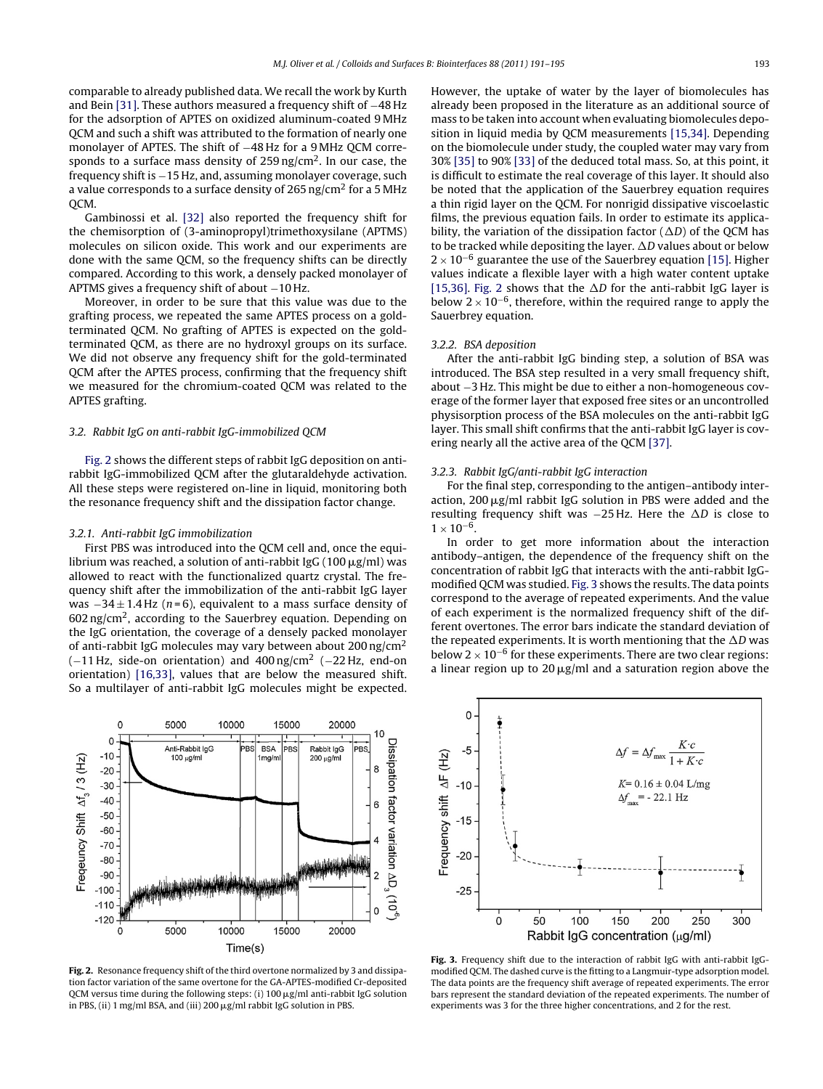<span id="page-2-0"></span>comparable to already published data. We recall the work by Kurth and Bein [\[31\].](#page-4-0) These authors measured a frequency shift of −48 Hz for the adsorption of APTES on oxidized aluminum-coated 9 MHz QCM and such a shift was attributed to the formation of nearly one monolayer of APTES. The shift of −48 Hz for a 9 MHz QCM corresponds to a surface mass density of  $259$  ng/cm<sup>2</sup>. In our case, the frequency shift is −15 Hz, and, assuming monolayer coverage, such a value corresponds to a surface density of 265 ng/cm<sup>2</sup> for a 5 MHz QCM.

Gambinossi et al. [\[32\]](#page-4-0) also reported the frequency shift for the chemisorption of (3-aminopropyl)trimethoxysilane (APTMS) molecules on silicon oxide. This work and our experiments are done with the same QCM, so the frequency shifts can be directly compared. According to this work, a densely packed monolayer of APTMS gives a frequency shift of about −10 Hz.

Moreover, in order to be sure that this value was due to the grafting process, we repeated the same APTES process on a goldterminated QCM. No grafting of APTES is expected on the goldterminated QCM, as there are no hydroxyl groups on its surface. We did not observe any frequency shift for the gold-terminated QCM after the APTES process, confirming that the frequency shift we measured for the chromium-coated QCM was related to the APTES grafting.

## 3.2. Rabbit IgG on anti-rabbit IgG-immobilized QCM

Fig. 2 shows the different steps of rabbit IgG deposition on antirabbit IgG-immobilized QCM after the glutaraldehyde activation. All these steps were registered on-line in liquid, monitoring both the resonance frequency shift and the dissipation factor change.

#### 3.2.1. Anti-rabbit IgG immobilization

First PBS was introduced into the QCM cell and, once the equilibrium was reached, a solution of anti-rabbit IgG (100  $\mu$ g/ml) was allowed to react with the functionalized quartz crystal. The frequency shift after the immobilization of the anti-rabbit IgG layer was  $-34 \pm 1.4$  Hz (n=6), equivalent to a mass surface density of  $602$  ng/cm<sup>2</sup>, according to the Sauerbrey equation. Depending on the IgG orientation, the coverage of a densely packed monolayer of anti-rabbit IgG molecules may vary between about 200 ng/cm<sup>2</sup>  $(-11$  Hz, side-on orientation) and 400 ng/cm<sup>2</sup> (−22 Hz, end-on orientation) [\[16,33\],](#page-4-0) values that are below the measured shift. So a multilayer of anti-rabbit IgG molecules might be expected.

 $\mathbf 0$ 5000 10000 15000 20000 10  $\mathsf{C}$ Dissipation factor variation  $\Delta \mathsf{D}_3$  (10°) Anti-Rabbit IgG **BS BSA** P<sub>B</sub> Rabbit IgG  $-10$ 100 µg/m  $200 \mu g/ml$  $1<sub>mg/n</sub>$ Freqeuncy Shift  $\Delta t$  / 3 (Hz) 8  $-20$  $-30$  $-40$ 6  $-50$  $-60$  $-70$  $-80$  $-90$  $\overline{2}$  $-100$  $-110$  $\mathbf 0$  $-120$  $\Omega$ 5000 10000 15000 20000  $Time(s)$ 

Fig. 2. Resonance frequency shift of the third overtone normalized by 3 and dissipation factor variation of the same overtone for the GA-APTES-modified Cr-deposited QCM versus time during the following steps: (i) 100  $\mu$ g/ml anti-rabbit IgG solution in PBS, (ii) 1 mg/ml BSA, and (iii) 200  $\mu$ g/ml rabbit IgG solution in PBS.

However, the uptake of water by the layer of biomolecules has already been proposed in the literature as an additional source of mass to be taken into account when evaluating biomolecules deposition in liquid media by QCM measurements [\[15,34\].](#page-4-0) Depending on the biomolecule under study, the coupled water may vary from 30% [\[35\]](#page-4-0) to 90% [\[33\]](#page-4-0) of the deduced total mass. So, at this point, it is difficult to estimate the real coverage of this layer. It should also be noted that the application of the Sauerbrey equation requires a thin rigid layer on the QCM. For nonrigid dissipative viscoelastic films, the previous equation fails. In order to estimate its applicability, the variation of the dissipation factor ( $\Delta D$ ) of the QCM has to be tracked while depositing the layer.  $\Delta D$  values about or below  $2 \times 10^{-6}$  guarantee the use of the Sauerbrey equation [\[15\].](#page-4-0) Higher values indicate a flexible layer with a high water content uptake [\[15,36\].](#page-4-0) Fig. 2 shows that the  $\Delta D$  for the anti-rabbit IgG layer is below  $2 \times 10^{-6}$ , therefore, within the required range to apply the Sauerbrey equation.

#### 3.2.2. BSA deposition

After the anti-rabbit IgG binding step, a solution of BSA was introduced. The BSA step resulted in a very small frequency shift, about −3 Hz. This might be due to either a non-homogeneous coverage of the former layer that exposed free sites or an uncontrolled physisorption process of the BSA molecules on the anti-rabbit IgG layer. This small shift confirms that the anti-rabbit IgG layer is covering nearly all the active area of the QCM [\[37\].](#page-4-0)

#### 3.2.3. Rabbit IgG/anti-rabbit IgG interaction

For the final step, corresponding to the antigen–antibody interaction, 200  $\mu$ g/ml rabbit IgG solution in PBS were added and the resulting frequency shift was  $-25$  Hz. Here the  $\Delta D$  is close to  $1 \times 10^{-6}$ .

In order to get more information about the interaction antibody–antigen, the dependence of the frequency shift on the concentration of rabbit IgG that interacts with the anti-rabbit IgGmodified QCM was studied. Fig. 3 shows the results. The data points correspond to the average of repeated experiments. And the value of each experiment is the normalized frequency shift of the different overtones. The error bars indicate the standard deviation of the repeated experiments. It is worth mentioning that the  $\Delta D$  was below  $2 \times 10^{-6}$  for these experiments. There are two clear regions: a linear region up to 20  $\mu$ g/ml and a saturation region above the



**Fig. 3.** Frequency shift due to the interaction of rabbit IgG with anti-rabbit IgGmodified QCM. The dashed curve is the fitting to a Langmuir-type adsorption model. The data points are the frequency shift average of repeated experiments. The error bars represent the standard deviation of the repeated experiments. The number of experiments was 3 for the three higher concentrations, and 2 for the rest.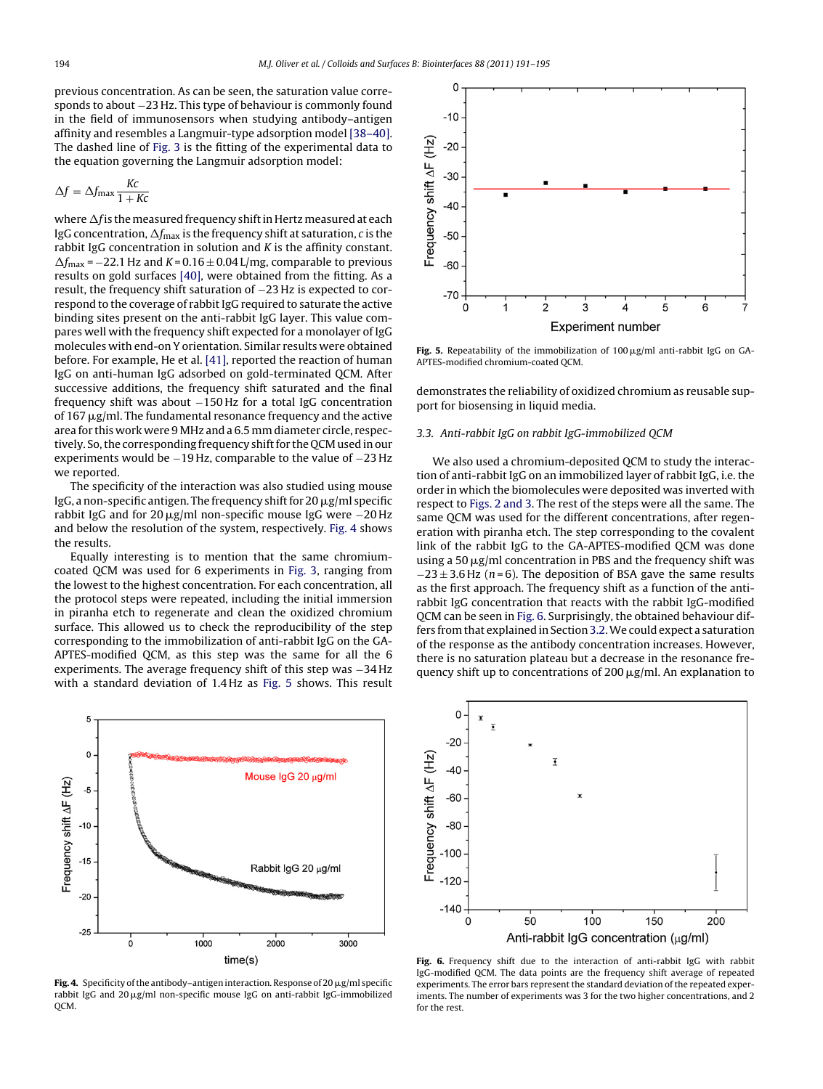<span id="page-3-0"></span>previous concentration. As can be seen, the saturation value corresponds to about −23 Hz. This type of behaviour is commonly found in the field of immunosensors when studying antibody–antigen affinity and resembles a Langmuir-type adsorption model [\[38–40\].](#page-4-0) The dashed line of [Fig.](#page-2-0) 3 is the fitting of the experimental data to the equation governing the Langmuir adsorption model:

$$
\Delta f = \Delta f_{\text{max}} \frac{Kc}{1 + Kc}
$$

where  $\Delta f$  is the measured frequency shift in Hertz measured at each IgG concentration,  $\Delta f_\text{max}$  is the frequency shift at saturation,  $c$  is the rabbit IgG concentration in solution and K is the affinity constant.  $\Delta f_{\rm max}$  = -22.1 Hz and K = 0.16  $\pm$  0.04 L/mg, comparable to previous results on gold surfaces [\[40\],](#page-4-0) were obtained from the fitting. As a result, the frequency shift saturation of −23 Hz is expected to correspond to the coverage of rabbit IgG required to saturate the active binding sites present on the anti-rabbit IgG layer. This value compares well with the frequency shift expected for a monolayer of IgG molecules with end-on Y orientation. Similar results were obtained before. For example, He et al. [\[41\],](#page-4-0) reported the reaction of human IgG on anti-human IgG adsorbed on gold-terminated QCM. After successive additions, the frequency shift saturated and the final frequency shift was about −150 Hz for a total IgG concentration of 167 µg/ml. The fundamental resonance frequency and the active area for this work were 9 MHz and a 6.5 mm diameter circle, respectively. So, the corresponding frequency shift for the QCM used in our experiments would be −19 Hz, comparable to the value of −23 Hz we reported.

The specificity of the interaction was also studied using mouse IgG, a non-specific antigen. The frequency shift for 20  $\mu$ g/ml specific rabbit IgG and for 20  $\mu$ g/ml non-specific mouse IgG were  $-20\,$ Hz and below the resolution of the system, respectively. Fig. 4 shows the results.

Equally interesting is to mention that the same chromiumcoated QCM was used for 6 experiments in [Fig.](#page-2-0) 3, ranging from the lowest to the highest concentration. For each concentration, all the protocol steps were repeated, including the initial immersion in piranha etch to regenerate and clean the oxidized chromium surface. This allowed us to check the reproducibility of the step corresponding to the immobilization of anti-rabbit IgG on the GA-APTES-modified QCM, as this step was the same for all the 6 experiments. The average frequency shift of this step was −34 Hz with a standard deviation of 1.4 Hz as Fig. 5 shows. This result



**Fig. 4.** Specificity of the antibody–antigen interaction. Response of 20  $\mu$ g/ml specific rabbit IgG and 20µg/ml non-specific mouse IgG on anti-rabbit IgG-immobilized OCM.



**Fig. 5.** Repeatability of the immobilization of 100  $\mu$ g/ml anti-rabbit IgG on GA-APTES-modified chromium-coated QCM.

demonstrates the reliability of oxidized chromium as reusable support for biosensing in liquid media.

## 3.3. Anti-rabbit IgG on rabbit IgG-immobilized QCM

We also used a chromium-deposited QCM to study the interaction of anti-rabbit IgG on an immobilized layer of rabbit IgG, i.e. the order in which the biomolecules were deposited was inverted with respect to [Figs.](#page-2-0) 2 and 3. The rest of the steps were all the same. The same QCM was used for the different concentrations, after regeneration with piranha etch. The step corresponding to the covalent link of the rabbit IgG to the GA-APTES-modified QCM was done using a 50  $\mu$ g/ml concentration in PBS and the frequency shift was  $-23 \pm 3.6$  Hz (n=6). The deposition of BSA gave the same results as the first approach. The frequency shift as a function of the antirabbit IgG concentration that reacts with the rabbit IgG-modified QCM can be seen in Fig. 6. Surprisingly, the obtained behaviour differs from that explained in Section 3.2. We could expect a saturation of the response as the antibody concentration increases. However, there is no saturation plateau but a decrease in the resonance frequency shift up to concentrations of 200  $\mu$ g/ml. An explanation to



**Fig. 6.** Frequency shift due to the interaction of anti-rabbit IgG with rabbit IgG-modified QCM. The data points are the frequency shift average of repeated experiments. The error bars represent the standard deviation of the repeated experiments. The number of experiments was 3 for the two higher concentrations, and 2 for the rest.